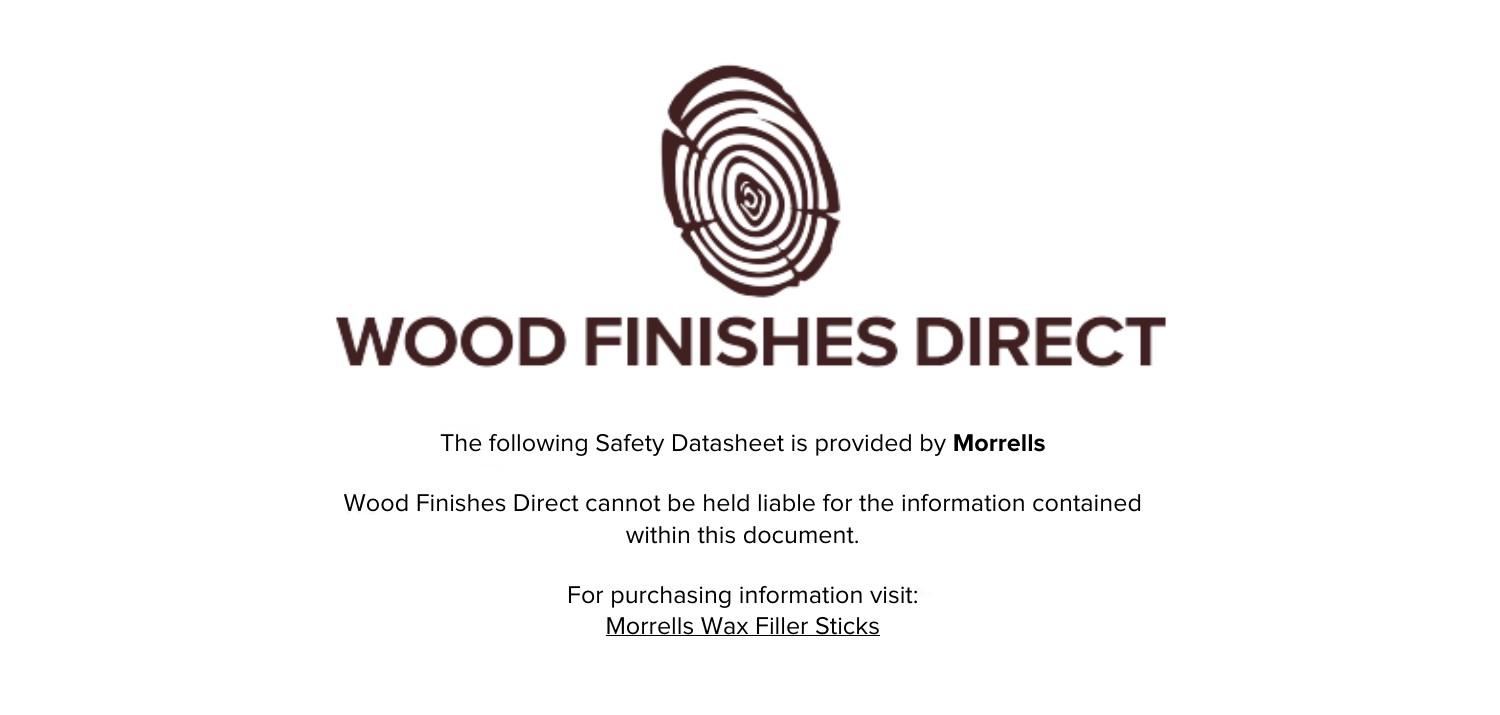

The following Safety Datasheet is provided by **Morrells**

Wood Finishes Direct cannot be held liable for the information contained within this document.

> For purchasing information visit: [Morrells Wax Filler Sticks](https://www.wood-finishes-direct.com/product/morrells-wax-filler-sticks)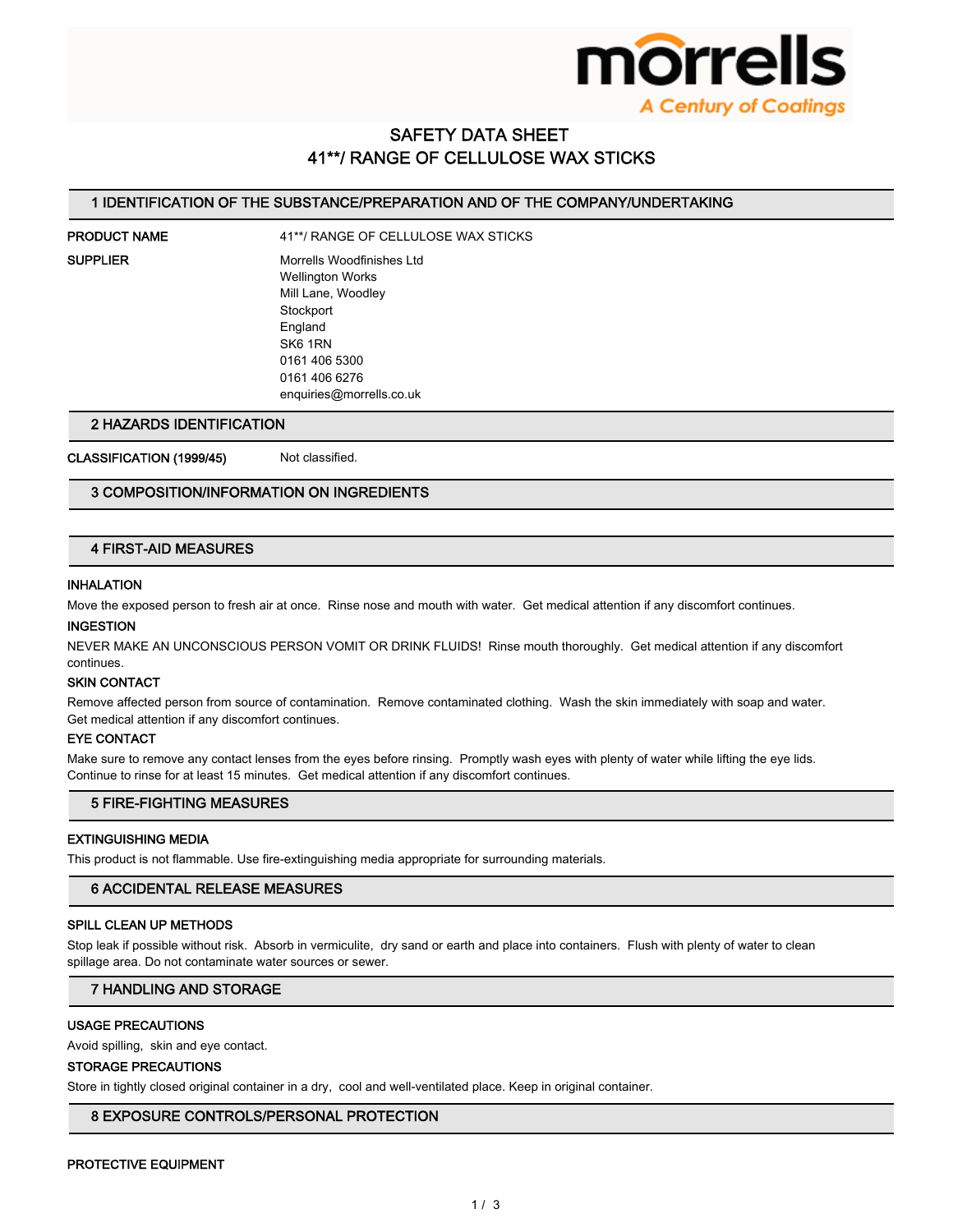

## **SAFETY DATA SHEET** 41\*\*/ RANGE OF CELLULOSE WAX STICKS

## 1 IDENTIFICATION OF THE SUBSTANCE/PREPARATION AND OF THE COMPANY/UNDERTAKING

# **PRODUCT NAME**

41\*\*/ RANGE OF CELLULOSE WAX STICKS

**SUPPLIER** 

Morrells Woodfinishes Ltd **Wellington Works** Mill Lane, Woodley Stockport England SK6 1RN 0161 406 5300

## 2 HAZARDS IDENTIFICATION

CLASSIFICATION (1999/45)

Not classified

0161 406 6276

enquiries@morrells.co.uk

## 3 COMPOSITION/INFORMATION ON INGREDIENTS

## **4 FIRST-AID MEASURES**

## **INHALATION**

Move the exposed person to fresh air at once. Rinse nose and mouth with water. Get medical attention if any discomfort continues.

#### **INGESTION**

NEVER MAKE AN UNCONSCIOUS PERSON VOMIT OR DRINK FLUIDS! Rinse mouth thoroughly. Get medical attention if any discomfort continues

#### **SKIN CONTACT**

Remove affected person from source of contamination. Remove contaminated clothing. Wash the skin immediately with soap and water. Get medical attention if any discomfort continues.

#### **EYE CONTACT**

Make sure to remove any contact lenses from the eyes before rinsing. Promptly wash eyes with plenty of water while lifting the eye lids. Continue to rinse for at least 15 minutes. Get medical attention if any discomfort continues.

## **5 FIRE-FIGHTING MEASURES**

## **EXTINGUISHING MEDIA**

This product is not flammable. Use fire-extinguishing media appropriate for surrounding materials.

## **6 ACCIDENTAL RELEASE MEASURES**

## SPILL CLEAN UP METHODS

Stop leak if possible without risk. Absorb in vermiculite, dry sand or earth and place into containers. Flush with plenty of water to clean spillage area. Do not contaminate water sources or sewer.

#### **7 HANDLING AND STORAGE**

## **USAGE PRECAUTIONS**

Avoid spilling, skin and eye contact.

#### **STORAGE PRECAUTIONS**

Store in tightly closed original container in a dry, cool and well-ventilated place. Keep in original container.

## 8 EXPOSURE CONTROLS/PERSONAL PROTECTION

#### PROTECTIVE EQUIPMENT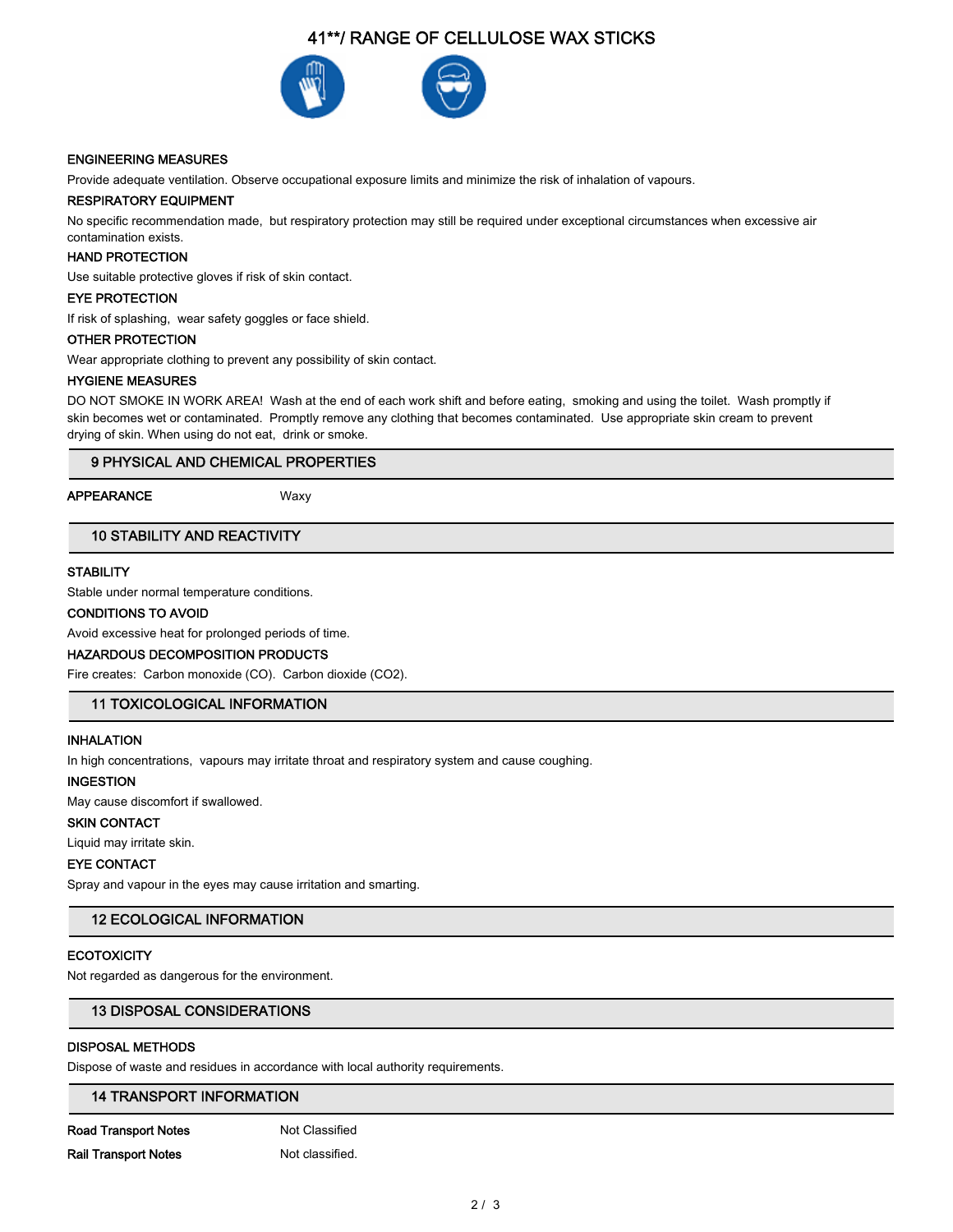## 41\*\*/ RANGE OF CELLULOSE WAX STICKS



## **ENGINEERING MEASURES**

Provide adequate ventilation. Observe occupational exposure limits and minimize the risk of inhalation of vapours.

## **RESPIRATORY EQUIPMENT**

No specific recommendation made, but respiratory protection may still be required under exceptional circumstances when excessive air contamination exists.

#### **HAND PROTECTION**

Use suitable protective gloves if risk of skin contact.

#### **EYE PROTECTION**

If risk of splashing, wear safety goggles or face shield.

#### **OTHER PROTECTION**

Wear appropriate clothing to prevent any possibility of skin contact.

#### **HYGIENE MEASURES**

DO NOT SMOKE IN WORK AREA! Wash at the end of each work shift and before eating, smoking and using the toilet. Wash promptly if skin becomes wet or contaminated. Promptly remove any clothing that becomes contaminated. Use appropriate skin cream to prevent drying of skin. When using do not eat, drink or smoke.

## 9 PHYSICAL AND CHEMICAL PROPERTIES

#### **APPEARANCE**

Waxy

## **10 STABILITY AND REACTIVITY**

## **STABILITY**

Stable under normal temperature conditions.

#### **CONDITIONS TO AVOID**

Avoid excessive heat for prolonged periods of time.

## HAZARDOUS DECOMPOSITION PRODUCTS

Fire creates: Carbon monoxide (CO). Carbon dioxide (CO2).

## **11 TOXICOLOGICAL INFORMATION**

## **INHALATION**

In high concentrations, vapours may irritate throat and respiratory system and cause coughing.

#### **INGESTION**

May cause discomfort if swallowed.

## **SKIN CONTACT**

Liquid may irritate skin.

## **EYE CONTACT**

Spray and vapour in the eyes may cause irritation and smarting.

## **12 ECOLOGICAL INFORMATION**

## **ECOTOXICITY**

Not regarded as dangerous for the environment.

## **13 DISPOSAL CONSIDERATIONS**

#### **DISPOSAL METHODS**

Dispose of waste and residues in accordance with local authority requirements.

## **14 TRANSPORT INFORMATION**

**Road Transport Notes Rail Transport Notes** 

Not Classified Not classified.